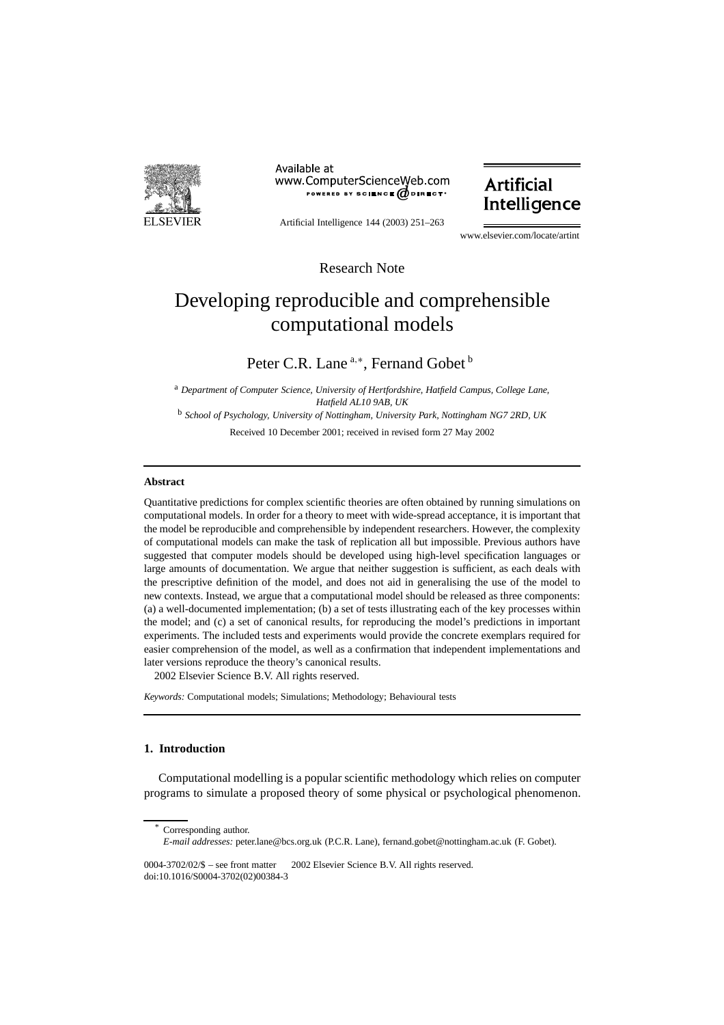

Available at www.ComputerScienceWeb.com POWERED BY SCIENCE  $\phi$  direct<sup>®</sup>

Artificial Intelligence 144 (2003) 251–263

# **Artificial** Intelligence

www.elsevier.com/locate/artint

Research Note

# Developing reproducible and comprehensible computational models

# Peter C.R. Lane<sup>a,∗</sup>, Fernand Gobet<sup>b</sup>

<sup>a</sup> *Department of Computer Science, University of Hertfordshire, Hatfield Campus, College Lane, Hatfield AL10 9AB, UK* <sup>b</sup> *School of Psychology, University of Nottingham, University Park, Nottingham NG7 2RD, UK* Received 10 December 2001; received in revised form 27 May 2002

# **Abstract**

Quantitative predictions for complex scientific theories are often obtained by running simulations on computational models. In order for a theory to meet with wide-spread acceptance, it is important that the model be reproducible and comprehensible by independent researchers. However, the complexity of computational models can make the task of replication all but impossible. Previous authors have suggested that computer models should be developed using high-level specification languages or large amounts of documentation. We argue that neither suggestion is sufficient, as each deals with the prescriptive definition of the model, and does not aid in generalising the use of the model to new contexts. Instead, we argue that a computational model should be released as three components: (a) a well-documented implementation; (b) a set of tests illustrating each of the key processes within the model; and (c) a set of canonical results, for reproducing the model's predictions in important experiments. The included tests and experiments would provide the concrete exemplars required for easier comprehension of the model, as well as a confirmation that independent implementations and later versions reproduce the theory's canonical results.

2002 Elsevier Science B.V. All rights reserved.

*Keywords:* Computational models; Simulations; Methodology; Behavioural tests

# **1. Introduction**

Computational modelling is a popular scientific methodology which relies on computer programs to simulate a proposed theory of some physical or psychological phenomenon.

Corresponding author. *E-mail addresses:* peter.lane@bcs.org.uk (P.C.R. Lane), fernand.gobet@nottingham.ac.uk (F. Gobet).

 $0004-3702/02\%$  – see front matter  $\odot$  2002 Elsevier Science B.V. All rights reserved. doi:10.1016/S0004-3702(02)00384-3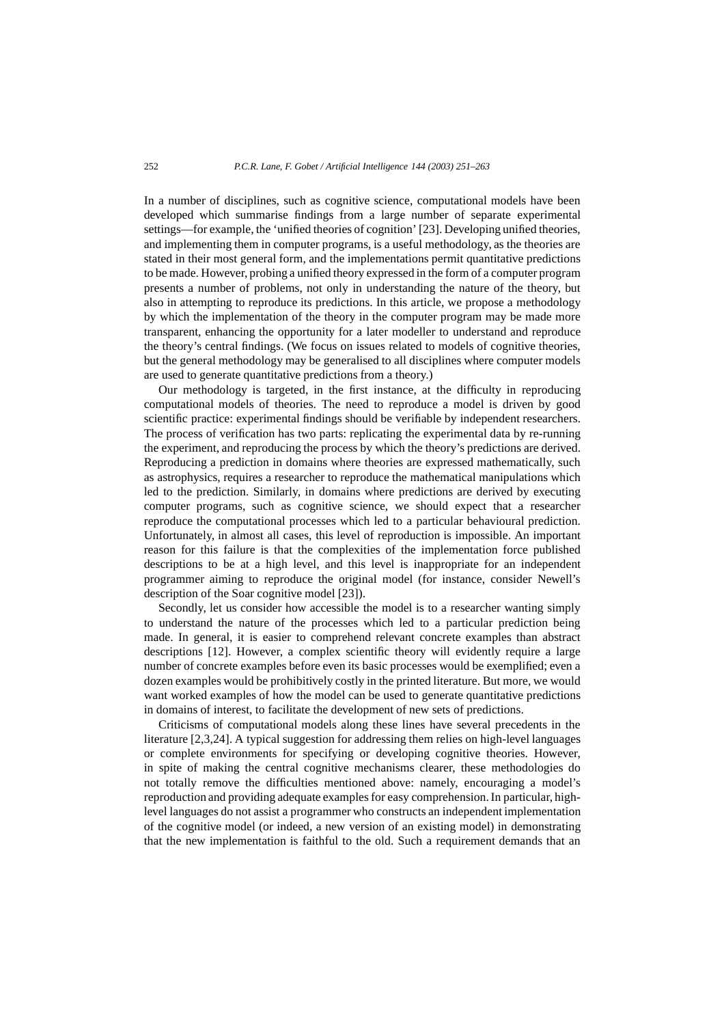In a number of disciplines, such as cognitive science, computational models have been developed which summarise findings from a large number of separate experimental settings—for example, the 'unified theories of cognition' [23]. Developing unified theories, and implementing them in computer programs, is a useful methodology, as the theories are stated in their most general form, and the implementations permit quantitative predictions to be made. However, probing a unified theory expressed in the form of a computer program presents a number of problems, not only in understanding the nature of the theory, but also in attempting to reproduce its predictions. In this article, we propose a methodology by which the implementation of the theory in the computer program may be made more transparent, enhancing the opportunity for a later modeller to understand and reproduce the theory's central findings. (We focus on issues related to models of cognitive theories, but the general methodology may be generalised to all disciplines where computer models are used to generate quantitative predictions from a theory.)

Our methodology is targeted, in the first instance, at the difficulty in reproducing computational models of theories. The need to reproduce a model is driven by good scientific practice: experimental findings should be verifiable by independent researchers. The process of verification has two parts: replicating the experimental data by re-running the experiment, and reproducing the process by which the theory's predictions are derived. Reproducing a prediction in domains where theories are expressed mathematically, such as astrophysics, requires a researcher to reproduce the mathematical manipulations which led to the prediction. Similarly, in domains where predictions are derived by executing computer programs, such as cognitive science, we should expect that a researcher reproduce the computational processes which led to a particular behavioural prediction. Unfortunately, in almost all cases, this level of reproduction is impossible. An important reason for this failure is that the complexities of the implementation force published descriptions to be at a high level, and this level is inappropriate for an independent programmer aiming to reproduce the original model (for instance, consider Newell's description of the Soar cognitive model [23]).

Secondly, let us consider how accessible the model is to a researcher wanting simply to understand the nature of the processes which led to a particular prediction being made. In general, it is easier to comprehend relevant concrete examples than abstract descriptions [12]. However, a complex scientific theory will evidently require a large number of concrete examples before even its basic processes would be exemplified; even a dozen examples would be prohibitively costly in the printed literature. But more, we would want worked examples of how the model can be used to generate quantitative predictions in domains of interest, to facilitate the development of new sets of predictions.

Criticisms of computational models along these lines have several precedents in the literature [2,3,24]. A typical suggestion for addressing them relies on high-level languages or complete environments for specifying or developing cognitive theories. However, in spite of making the central cognitive mechanisms clearer, these methodologies do not totally remove the difficulties mentioned above: namely, encouraging a model's reproduction and providing adequate examples for easy comprehension. In particular, highlevel languages do not assist a programmer who constructs an independent implementation of the cognitive model (or indeed, a new version of an existing model) in demonstrating that the new implementation is faithful to the old. Such a requirement demands that an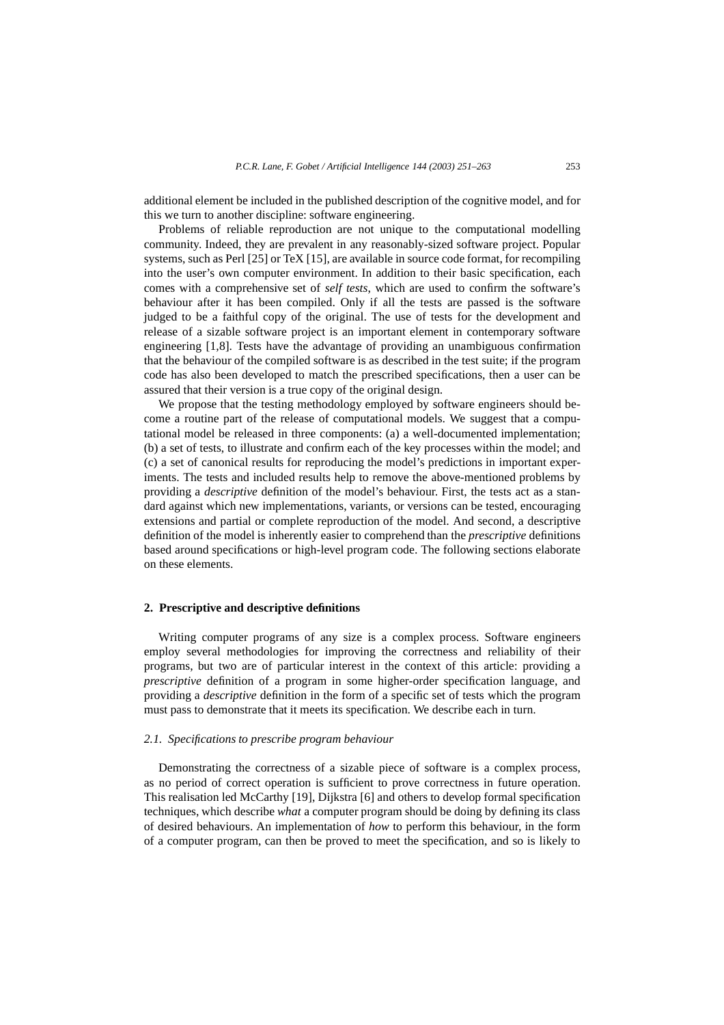additional element be included in the published description of the cognitive model, and for this we turn to another discipline: software engineering.

Problems of reliable reproduction are not unique to the computational modelling community. Indeed, they are prevalent in any reasonably-sized software project. Popular systems, such as Perl [25] or TeX [15], are available in source code format, for recompiling into the user's own computer environment. In addition to their basic specification, each comes with a comprehensive set of *self tests*, which are used to confirm the software's behaviour after it has been compiled. Only if all the tests are passed is the software judged to be a faithful copy of the original. The use of tests for the development and release of a sizable software project is an important element in contemporary software engineering [1,8]. Tests have the advantage of providing an unambiguous confirmation that the behaviour of the compiled software is as described in the test suite; if the program code has also been developed to match the prescribed specifications, then a user can be assured that their version is a true copy of the original design.

We propose that the testing methodology employed by software engineers should become a routine part of the release of computational models. We suggest that a computational model be released in three components: (a) a well-documented implementation; (b) a set of tests, to illustrate and confirm each of the key processes within the model; and (c) a set of canonical results for reproducing the model's predictions in important experiments. The tests and included results help to remove the above-mentioned problems by providing a *descriptive* definition of the model's behaviour. First, the tests act as a standard against which new implementations, variants, or versions can be tested, encouraging extensions and partial or complete reproduction of the model. And second, a descriptive definition of the model is inherently easier to comprehend than the *prescriptive* definitions based around specifications or high-level program code. The following sections elaborate on these elements.

# **2. Prescriptive and descriptive definitions**

Writing computer programs of any size is a complex process. Software engineers employ several methodologies for improving the correctness and reliability of their programs, but two are of particular interest in the context of this article: providing a *prescriptive* definition of a program in some higher-order specification language, and providing a *descriptive* definition in the form of a specific set of tests which the program must pass to demonstrate that it meets its specification. We describe each in turn.

#### *2.1. Specifications to prescribe program behaviour*

Demonstrating the correctness of a sizable piece of software is a complex process, as no period of correct operation is sufficient to prove correctness in future operation. This realisation led McCarthy [19], Dijkstra [6] and others to develop formal specification techniques, which describe *what* a computer program should be doing by defining its class of desired behaviours. An implementation of *how* to perform this behaviour, in the form of a computer program, can then be proved to meet the specification, and so is likely to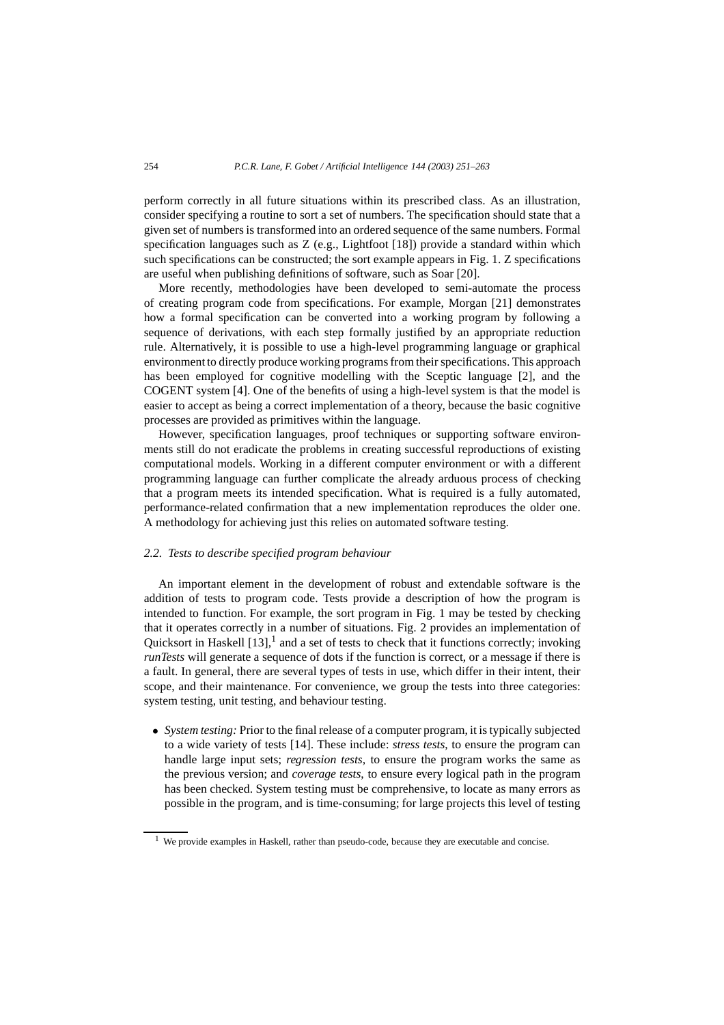perform correctly in all future situations within its prescribed class. As an illustration, consider specifying a routine to sort a set of numbers. The specification should state that a given set of numbers is transformed into an ordered sequence of the same numbers. Formal specification languages such as Z (e.g., Lightfoot [18]) provide a standard within which such specifications can be constructed; the sort example appears in Fig. 1. Z specifications are useful when publishing definitions of software, such as Soar [20].

More recently, methodologies have been developed to semi-automate the process of creating program code from specifications. For example, Morgan [21] demonstrates how a formal specification can be converted into a working program by following a sequence of derivations, with each step formally justified by an appropriate reduction rule. Alternatively, it is possible to use a high-level programming language or graphical environment to directly produce working programs from their specifications. This approach has been employed for cognitive modelling with the Sceptic language [2], and the COGENT system [4]. One of the benefits of using a high-level system is that the model is easier to accept as being a correct implementation of a theory, because the basic cognitive processes are provided as primitives within the language.

However, specification languages, proof techniques or supporting software environments still do not eradicate the problems in creating successful reproductions of existing computational models. Working in a different computer environment or with a different programming language can further complicate the already arduous process of checking that a program meets its intended specification. What is required is a fully automated, performance-related confirmation that a new implementation reproduces the older one. A methodology for achieving just this relies on automated software testing.

#### *2.2. Tests to describe specified program behaviour*

An important element in the development of robust and extendable software is the addition of tests to program code. Tests provide a description of how the program is intended to function. For example, the sort program in Fig. 1 may be tested by checking that it operates correctly in a number of situations. Fig. 2 provides an implementation of Quicksort in Haskell  $[13]$ ,<sup>1</sup> and a set of tests to check that it functions correctly; invoking *runTests* will generate a sequence of dots if the function is correct, or a message if there is a fault. In general, there are several types of tests in use, which differ in their intent, their scope, and their maintenance. For convenience, we group the tests into three categories: system testing, unit testing, and behaviour testing.

• *System testing:* Prior to the final release of a computer program, it is typically subjected to a wide variety of tests [14]. These include: *stress tests*, to ensure the program can handle large input sets; *regression tests*, to ensure the program works the same as the previous version; and *coverage tests*, to ensure every logical path in the program has been checked. System testing must be comprehensive, to locate as many errors as possible in the program, and is time-consuming; for large projects this level of testing

<sup>&</sup>lt;sup>1</sup> We provide examples in Haskell, rather than pseudo-code, because they are executable and concise.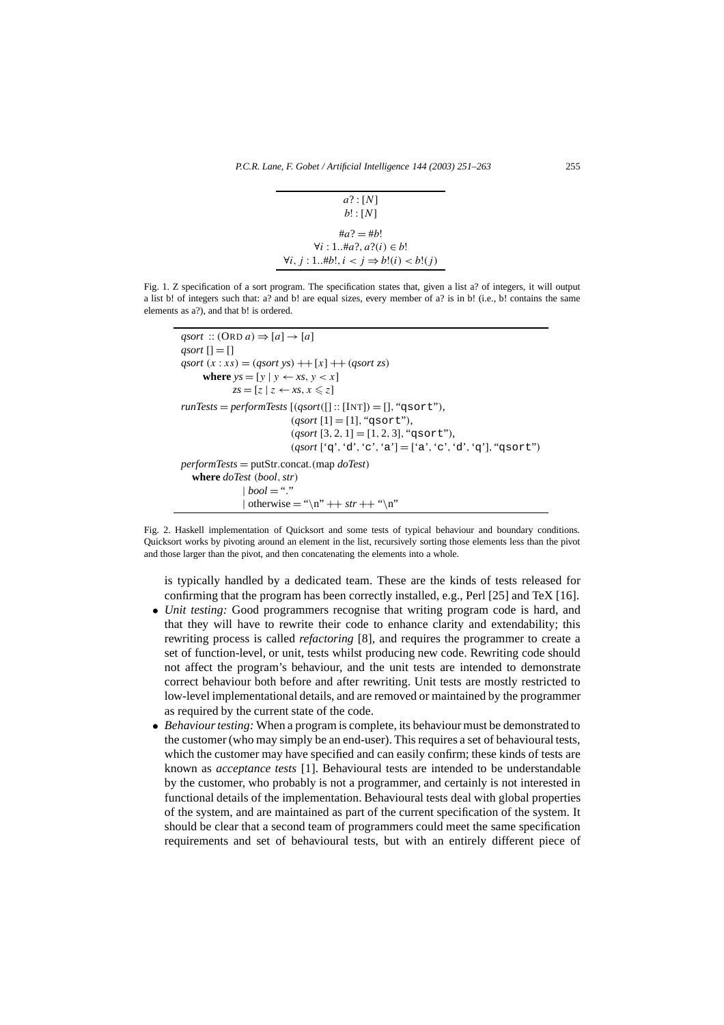| $a$ ?: [N]<br>$b$ ! : [N]                                 |
|-----------------------------------------------------------|
| $\#a? = \#b!$                                             |
| $\forall i: 1\#a?, a?$                                    |
| $\forall i, j : 1 \# b!, i < j \Rightarrow b!(i) < b!(j)$ |

Fig. 1. Z specification of a sort program. The specification states that, given a list a? of integers, it will output a list b! of integers such that: a? and b! are equal sizes, every member of a? is in b! (i.e., b! contains the same elements as a?), and that b! is ordered.

```
qsort :: (ORD a) \Rightarrow [a] \rightarrow [a]qsort [] = []qsort(x : xs) = (qsortys) + [x] + (qsortzs)where ys = [y | y \leftarrow xs, y < x]zs = [z \mid z \leftarrow xs, x \leq z]runTests = performance(qsort([] :: [INT]) = [], "qsort"<sub>)</sub>,
                          (qsort [1]=[1], "qsort"),
                          (qsort [3, 2, 1]=[1, 2, 3], "qsort"),
                          (qsort ['q','d','c','a']=['a','c','d','q'], "qsort")
performTests = putStr.concat.(map doTest)
  where doTest (bool,str)
              |bool = "."| otherwise = "\ln" + str + "\ln"
```
Fig. 2. Haskell implementation of Quicksort and some tests of typical behaviour and boundary conditions. Quicksort works by pivoting around an element in the list, recursively sorting those elements less than the pivot and those larger than the pivot, and then concatenating the elements into a whole.

is typically handled by a dedicated team. These are the kinds of tests released for confirming that the program has been correctly installed, e.g., Perl [25] and TeX [16].

- *Unit testing:* Good programmers recognise that writing program code is hard, and that they will have to rewrite their code to enhance clarity and extendability; this rewriting process is called *refactoring* [8], and requires the programmer to create a set of function-level, or unit, tests whilst producing new code. Rewriting code should not affect the program's behaviour, and the unit tests are intended to demonstrate correct behaviour both before and after rewriting. Unit tests are mostly restricted to low-level implementational details, and are removed or maintained by the programmer as required by the current state of the code.
- *Behaviour testing:* When a program is complete, its behaviour must be demonstrated to the customer (who may simply be an end-user). This requires a set of behavioural tests, which the customer may have specified and can easily confirm; these kinds of tests are known as *acceptance tests* [1]. Behavioural tests are intended to be understandable by the customer, who probably is not a programmer, and certainly is not interested in functional details of the implementation. Behavioural tests deal with global properties of the system, and are maintained as part of the current specification of the system. It should be clear that a second team of programmers could meet the same specification requirements and set of behavioural tests, but with an entirely different piece of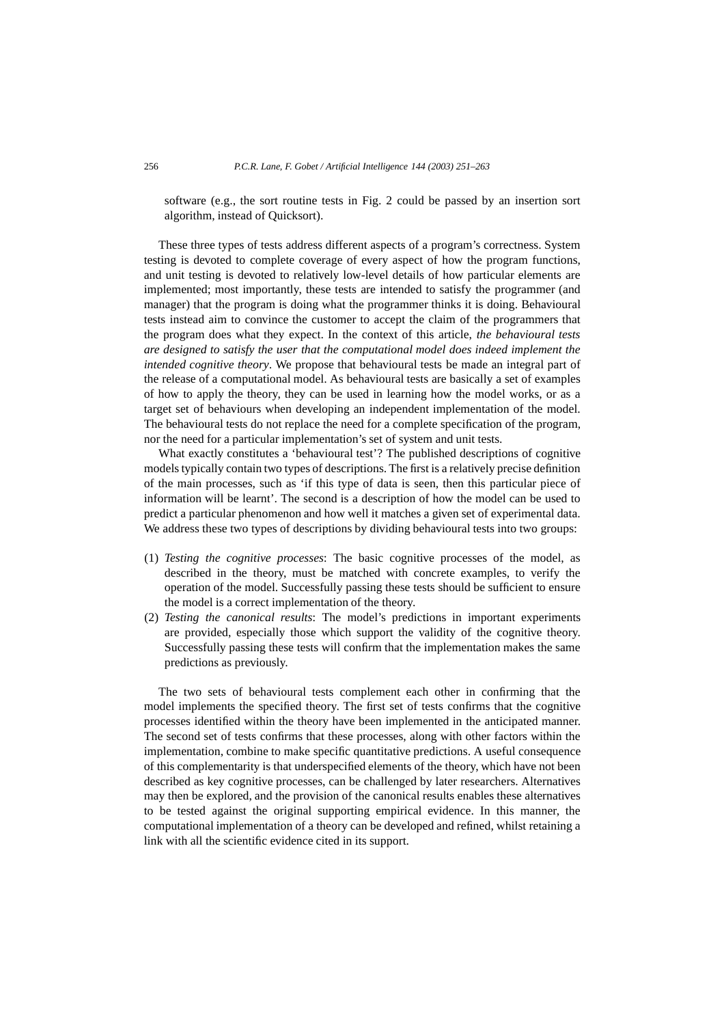software (e.g., the sort routine tests in Fig. 2 could be passed by an insertion sort algorithm, instead of Quicksort).

These three types of tests address different aspects of a program's correctness. System testing is devoted to complete coverage of every aspect of how the program functions, and unit testing is devoted to relatively low-level details of how particular elements are implemented; most importantly, these tests are intended to satisfy the programmer (and manager) that the program is doing what the programmer thinks it is doing. Behavioural tests instead aim to convince the customer to accept the claim of the programmers that the program does what they expect. In the context of this article, *the behavioural tests are designed to satisfy the user that the computational model does indeed implement the intended cognitive theory*. We propose that behavioural tests be made an integral part of the release of a computational model. As behavioural tests are basically a set of examples of how to apply the theory, they can be used in learning how the model works, or as a target set of behaviours when developing an independent implementation of the model. The behavioural tests do not replace the need for a complete specification of the program, nor the need for a particular implementation's set of system and unit tests.

What exactly constitutes a 'behavioural test'? The published descriptions of cognitive models typically contain two types of descriptions. The first is a relatively precise definition of the main processes, such as 'if this type of data is seen, then this particular piece of information will be learnt'. The second is a description of how the model can be used to predict a particular phenomenon and how well it matches a given set of experimental data. We address these two types of descriptions by dividing behavioural tests into two groups:

- (1) *Testing the cognitive processes*: The basic cognitive processes of the model, as described in the theory, must be matched with concrete examples, to verify the operation of the model. Successfully passing these tests should be sufficient to ensure the model is a correct implementation of the theory.
- (2) *Testing the canonical results*: The model's predictions in important experiments are provided, especially those which support the validity of the cognitive theory. Successfully passing these tests will confirm that the implementation makes the same predictions as previously.

The two sets of behavioural tests complement each other in confirming that the model implements the specified theory. The first set of tests confirms that the cognitive processes identified within the theory have been implemented in the anticipated manner. The second set of tests confirms that these processes, along with other factors within the implementation, combine to make specific quantitative predictions. A useful consequence of this complementarity is that underspecified elements of the theory, which have not been described as key cognitive processes, can be challenged by later researchers. Alternatives may then be explored, and the provision of the canonical results enables these alternatives to be tested against the original supporting empirical evidence. In this manner, the computational implementation of a theory can be developed and refined, whilst retaining a link with all the scientific evidence cited in its support.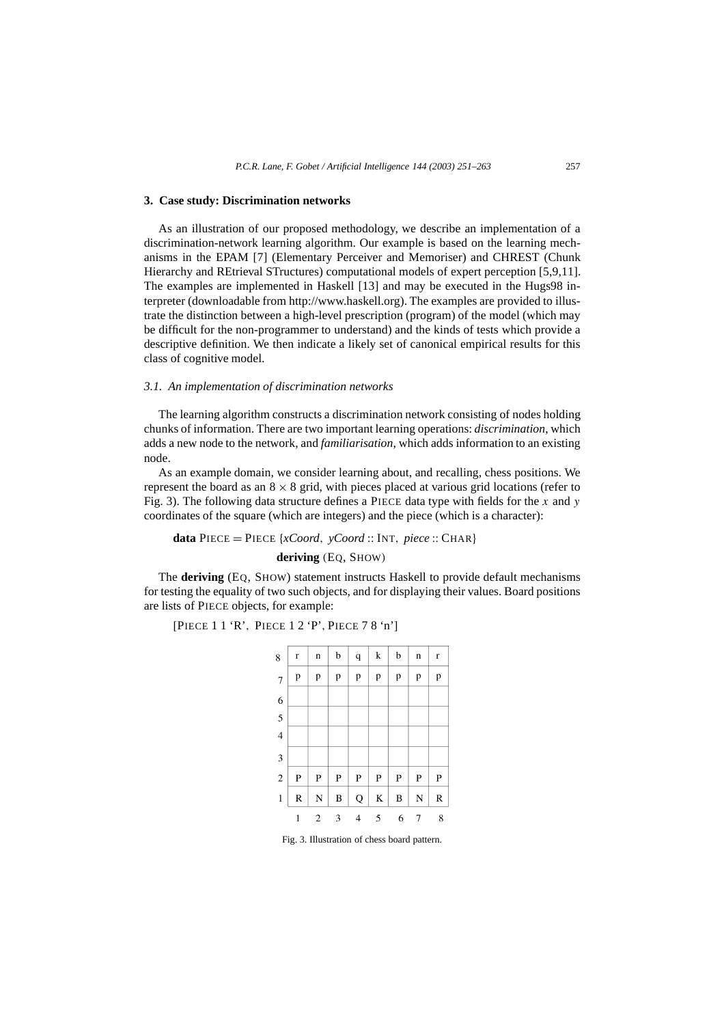#### **3. Case study: Discrimination networks**

As an illustration of our proposed methodology, we describe an implementation of a discrimination-network learning algorithm. Our example is based on the learning mechanisms in the EPAM [7] (Elementary Perceiver and Memoriser) and CHREST (Chunk Hierarchy and REtrieval STructures) computational models of expert perception [5,9,11]. The examples are implemented in Haskell [13] and may be executed in the Hugs98 interpreter (downloadable from http://www.haskell.org). The examples are provided to illustrate the distinction between a high-level prescription (program) of the model (which may be difficult for the non-programmer to understand) and the kinds of tests which provide a descriptive definition. We then indicate a likely set of canonical empirical results for this class of cognitive model.

#### *3.1. An implementation of discrimination networks*

The learning algorithm constructs a discrimination network consisting of nodes holding chunks of information. There are two important learning operations: *discrimination*, which adds a new node to the network, and *familiarisation*, which adds information to an existing node.

As an example domain, we consider learning about, and recalling, chess positions. We represent the board as an  $8 \times 8$  grid, with pieces placed at various grid locations (refer to Fig. 3). The following data structure defines a PIECE data type with fields for the *x* and *y* coordinates of the square (which are integers) and the piece (which is a character):

# **data** PIECE = PIECE  $\{xCoord, yCoord :: \text{INT}, piece :: \text{CHAR}\}\$

#### **deriving** *(*EQ, SHOW*)*

The **deriving** (EQ, SHOW) statement instructs Haskell to provide default mechanisms for testing the equality of two such objects, and for displaying their values. Board positions are lists of PIECE objects, for example:

### [PIECE 1 1 'R'*,* PIECE 1 2 'P'*,* PIECE 7 8 'n']

| 8              | r | n              | b | $\mathbf q$    | k | b | $\mathbf n$    | r |
|----------------|---|----------------|---|----------------|---|---|----------------|---|
| $\overline{7}$ | p | p              | p | p              | p | p | $\mathbf p$    | p |
| 6              |   |                |   |                |   |   |                |   |
| $\overline{5}$ |   |                |   |                |   |   |                |   |
| $\overline{4}$ |   |                |   |                |   |   |                |   |
| 3              |   |                |   |                |   |   |                |   |
| $\mathbf 2$    | P | P              | P | P              | P | P | P              | P |
| $\mathbf{1}$   | R | N              | B | Q              | K | B | N              | R |
|                | 1 | $\overline{2}$ | 3 | $\overline{4}$ | 5 | 6 | $\overline{7}$ | 8 |

Fig. 3. Illustration of chess board pattern.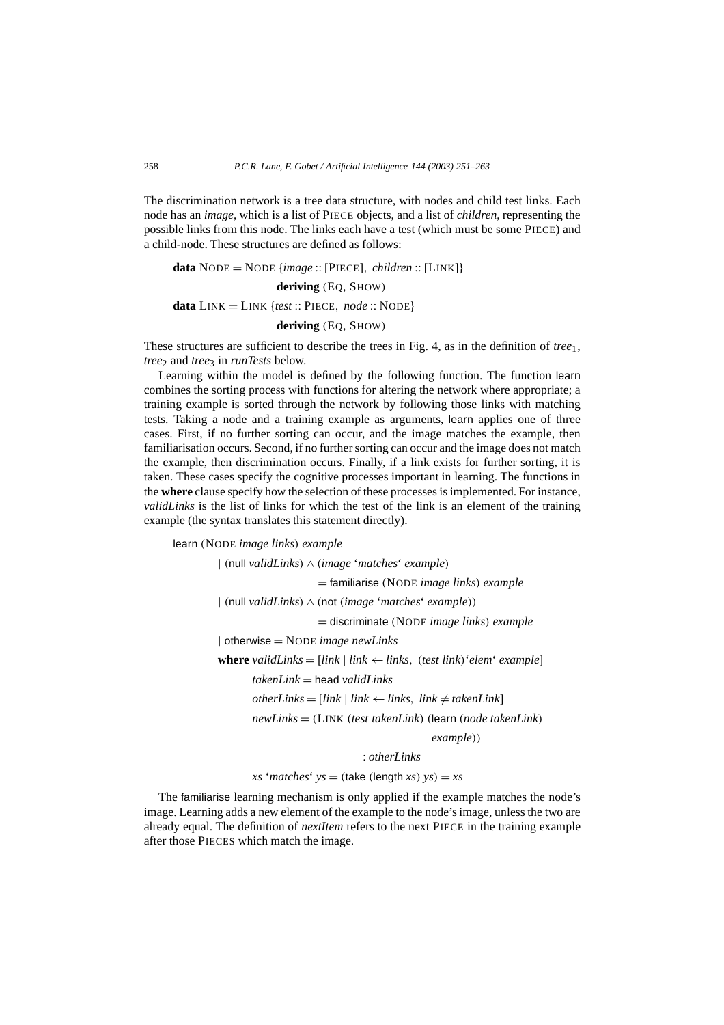The discrimination network is a tree data structure, with nodes and child test links. Each node has an *image*, which is a list of PIECE objects, and a list of *children*, representing the possible links from this node. The links each have a test (which must be some PIECE) and a child-node. These structures are defined as follows:

**data** NODE = NODE {*image* :: [PIECE]*, children* :: [LINK]} **deriving** *(*EQ, SHOW*)*  $data$  LINK = LINK {*test* :: PIECE, *node* :: NODE} **deriving** *(*EQ, SHOW*)*

These structures are sufficient to describe the trees in Fig. 4, as in the definition of *tree*1, *tree*<sup>2</sup> and *tree*<sup>3</sup> in *runTests* below.

Learning within the model is defined by the following function. The function learn combines the sorting process with functions for altering the network where appropriate; a training example is sorted through the network by following those links with matching tests. Taking a node and a training example as arguments, learn applies one of three cases. First, if no further sorting can occur, and the image matches the example, then familiarisation occurs. Second, if no further sorting can occur and the image does not match the example, then discrimination occurs. Finally, if a link exists for further sorting, it is taken. These cases specify the cognitive processes important in learning. The functions in the **where** clause specify how the selection of these processes is implemented. For instance, *validLinks* is the list of links for which the test of the link is an element of the training example (the syntax translates this statement directly).

learn *(*NODE *image links) example*

```
| (null validLinks) ∧ (image 'matches' example)
                        = familiarise (NODE image links) example
| (null validLinks) ∧ (not (image 'matches' example))
                        = discriminate (NODE image links) example
| otherwise = NODE image newLinks
where \textit{validLinks} = \left[ \textit{link} \mid \textit{link} \leftarrow \textit{links}, \textit{(test link)} \textit{'elem'} \textit{example} \right]takenLink = head validLinks
        otherLinks = [link | link \leftarrow links, link \neq takenLink]newLinks = (LINK (test takenLink) (learn (node takenLink)
                                                    example))
                                   : otherLinks
```
 $xs$  '*matches*'  $ys =$  (take (length  $xs$ )  $ys$ ) =  $xs$ 

The familiarise learning mechanism is only applied if the example matches the node's image. Learning adds a new element of the example to the node's image, unless the two are already equal. The definition of *nextItem* refers to the next PIECE in the training example after those PIECES which match the image.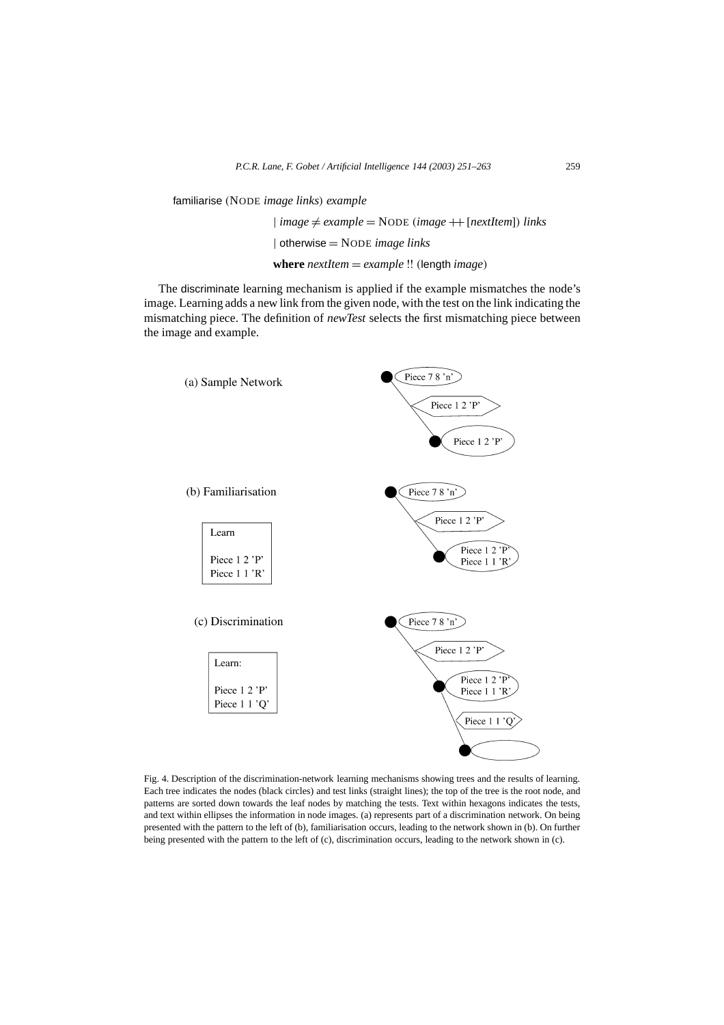familiarise *(*NODE *image links) example*

 $| \textit{image} \neq \textit{example} = \text{Node} \cdot (\textit{image} + \text{[nextItem]}) \cdot \textit{links}$ | otherwise = NODE *image links* **where** *nextItem* = *example* !! *(*length *image)*

The discriminate learning mechanism is applied if the example mismatches the node's image. Learning adds a new link from the given node, with the test on the link indicating the mismatching piece. The definition of *newTest* selects the first mismatching piece between the image and example.



Fig. 4. Description of the discrimination-network learning mechanisms showing trees and the results of learning. Each tree indicates the nodes (black circles) and test links (straight lines); the top of the tree is the root node, and patterns are sorted down towards the leaf nodes by matching the tests. Text within hexagons indicates the tests, and text within ellipses the information in node images. (a) represents part of a discrimination network. On being presented with the pattern to the left of (b), familiarisation occurs, leading to the network shown in (b). On further being presented with the pattern to the left of (c), discrimination occurs, leading to the network shown in (c).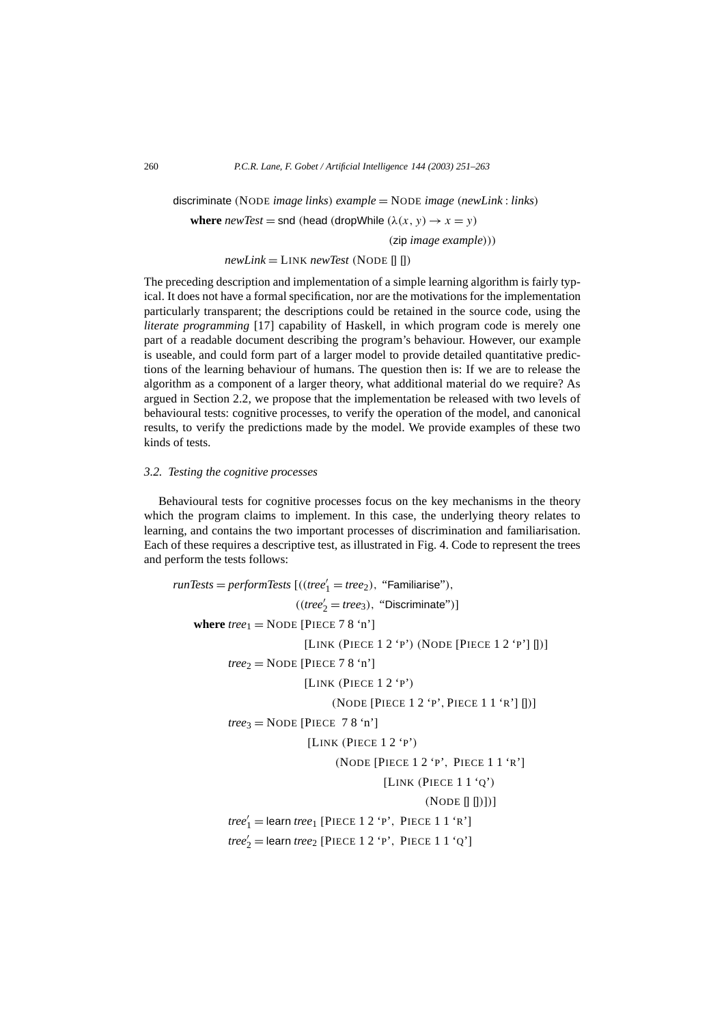discriminate *(*NODE *image links) example* = NODE *image (newLink* : *links)* **where**  $newTest$  = snd (head (dropWhile  $(\lambda(x, y) \rightarrow x = y)$ ) *(*zip *image example)))*  $newLink = LINK newTest (None  $\Pi$ )$ 

The preceding description and implementation of a simple learning algorithm is fairly typical. It does not have a formal specification, nor are the motivations for the implementation particularly transparent; the descriptions could be retained in the source code, using the *literate programming* [17] capability of Haskell, in which program code is merely one part of a readable document describing the program's behaviour. However, our example is useable, and could form part of a larger model to provide detailed quantitative predictions of the learning behaviour of humans. The question then is: If we are to release the algorithm as a component of a larger theory, what additional material do we require? As argued in Section 2.2, we propose that the implementation be released with two levels of behavioural tests: cognitive processes, to verify the operation of the model, and canonical results, to verify the predictions made by the model. We provide examples of these two kinds of tests.

# *3.2. Testing the cognitive processes*

Behavioural tests for cognitive processes focus on the key mechanisms in the theory which the program claims to implement. In this case, the underlying theory relates to learning, and contains the two important processes of discrimination and familiarisation. Each of these requires a descriptive test, as illustrated in Fig. 4. Code to represent the trees and perform the tests follows:

```
runTests = performance(f(tree'_1 = tree_2), "Familiarise"),
                         ((\text{tree}_2' = \text{tree}_3), \text{ "Discriminate"))}where tree_1 = NODE [PIECE 7 8 'n']
                           [LINK (PIECE 12'P') (NODE [PIECE 12'P'] [])]
           tree_2 = \text{Node} [PIECE 7 8 'n']
                           [LINK (PIECE 12'P')
                                (NODE [PIECE 12'P', PIECE 11'R'] [])]
           tree_3 = NODE [PIECE 7 8 'n']
                           [LINK (PIECE 12'P')
                                 (NODE [PIECE 12'P', PIECE 11'R']
                                           [LINK (PIECE 11'Q')
                                                    (NODE [] [])])]
           tree_1' =learn tree_1 [PIECE 1 2 'P', PIECE 1 1 'R']
           tree_2' =learn tree_2 [PIECE 1 2 'P', PIECE 1 1 'Q']
```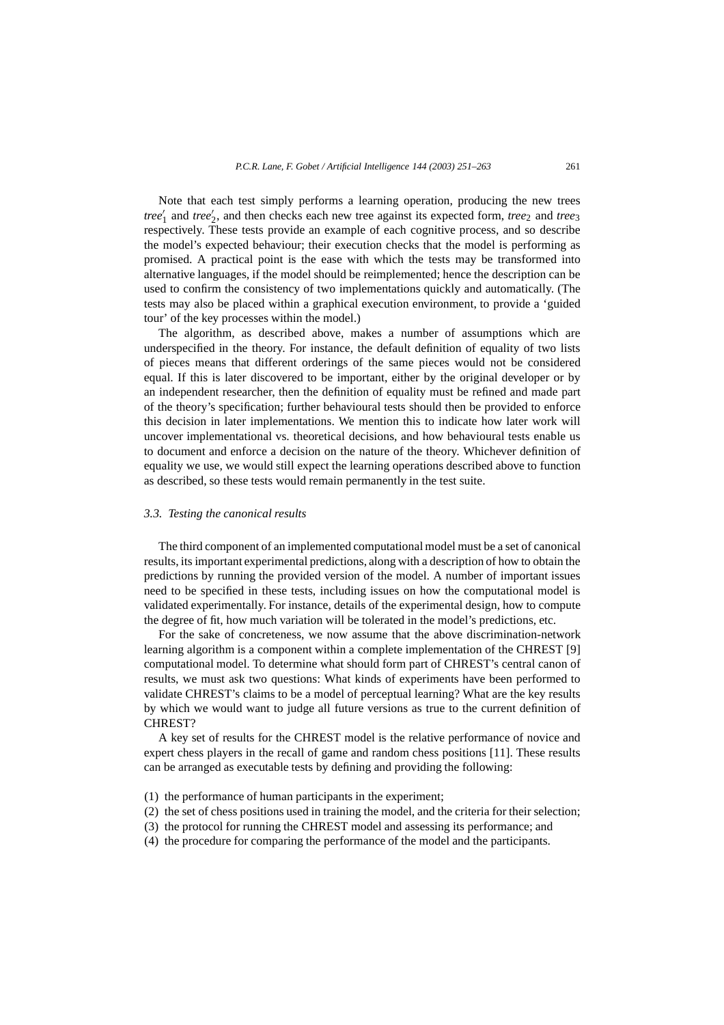Note that each test simply performs a learning operation, producing the new trees *tree'*<sub>1</sub> and *tree'*<sub>2</sub>, and then checks each new tree against its expected form, *tree*<sub>2</sub> and *tree*<sub>3</sub> respectively. These tests provide an example of each cognitive process, and so describe the model's expected behaviour; their execution checks that the model is performing as promised. A practical point is the ease with which the tests may be transformed into alternative languages, if the model should be reimplemented; hence the description can be used to confirm the consistency of two implementations quickly and automatically. (The tests may also be placed within a graphical execution environment, to provide a 'guided tour' of the key processes within the model.)

The algorithm, as described above, makes a number of assumptions which are underspecified in the theory. For instance, the default definition of equality of two lists of pieces means that different orderings of the same pieces would not be considered equal. If this is later discovered to be important, either by the original developer or by an independent researcher, then the definition of equality must be refined and made part of the theory's specification; further behavioural tests should then be provided to enforce this decision in later implementations. We mention this to indicate how later work will uncover implementational vs. theoretical decisions, and how behavioural tests enable us to document and enforce a decision on the nature of the theory. Whichever definition of equality we use, we would still expect the learning operations described above to function as described, so these tests would remain permanently in the test suite.

#### *3.3. Testing the canonical results*

The third component of an implemented computational model must be a set of canonical results, its important experimental predictions, along with a description of how to obtain the predictions by running the provided version of the model. A number of important issues need to be specified in these tests, including issues on how the computational model is validated experimentally. For instance, details of the experimental design, how to compute the degree of fit, how much variation will be tolerated in the model's predictions, etc.

For the sake of concreteness, we now assume that the above discrimination-network learning algorithm is a component within a complete implementation of the CHREST [9] computational model. To determine what should form part of CHREST's central canon of results, we must ask two questions: What kinds of experiments have been performed to validate CHREST's claims to be a model of perceptual learning? What are the key results by which we would want to judge all future versions as true to the current definition of CHREST?

A key set of results for the CHREST model is the relative performance of novice and expert chess players in the recall of game and random chess positions [11]. These results can be arranged as executable tests by defining and providing the following:

- (1) the performance of human participants in the experiment;
- (2) the set of chess positions used in training the model, and the criteria for their selection;
- (3) the protocol for running the CHREST model and assessing its performance; and
- (4) the procedure for comparing the performance of the model and the participants.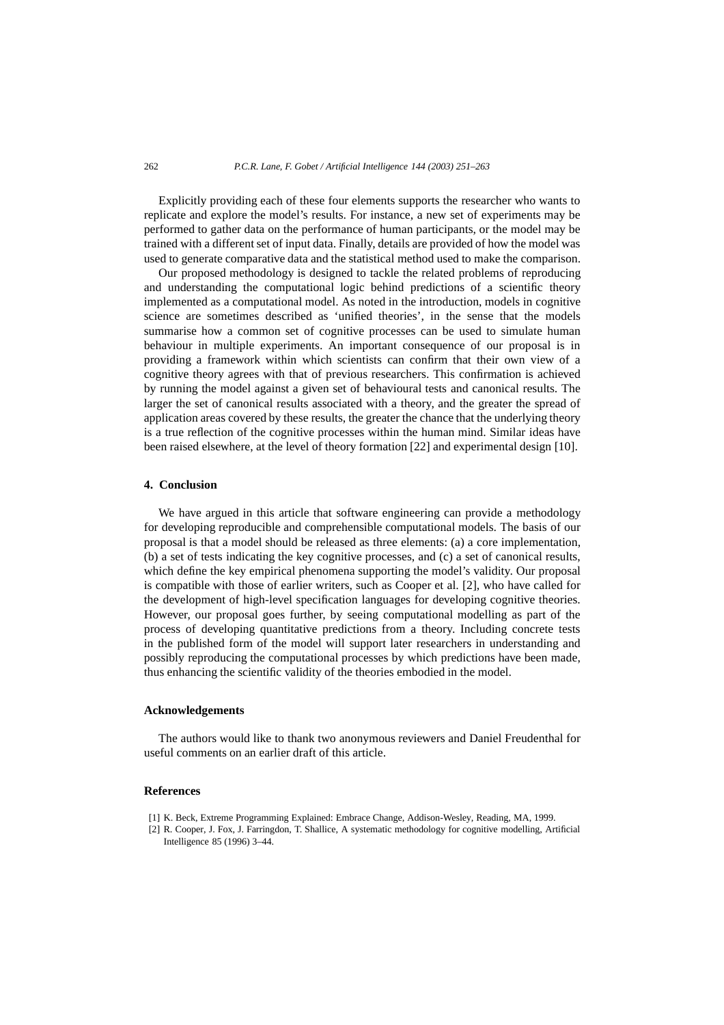Explicitly providing each of these four elements supports the researcher who wants to replicate and explore the model's results. For instance, a new set of experiments may be performed to gather data on the performance of human participants, or the model may be trained with a different set of input data. Finally, details are provided of how the model was used to generate comparative data and the statistical method used to make the comparison.

Our proposed methodology is designed to tackle the related problems of reproducing and understanding the computational logic behind predictions of a scientific theory implemented as a computational model. As noted in the introduction, models in cognitive science are sometimes described as 'unified theories', in the sense that the models summarise how a common set of cognitive processes can be used to simulate human behaviour in multiple experiments. An important consequence of our proposal is in providing a framework within which scientists can confirm that their own view of a cognitive theory agrees with that of previous researchers. This confirmation is achieved by running the model against a given set of behavioural tests and canonical results. The larger the set of canonical results associated with a theory, and the greater the spread of application areas covered by these results, the greater the chance that the underlying theory is a true reflection of the cognitive processes within the human mind. Similar ideas have been raised elsewhere, at the level of theory formation [22] and experimental design [10].

### **4. Conclusion**

We have argued in this article that software engineering can provide a methodology for developing reproducible and comprehensible computational models. The basis of our proposal is that a model should be released as three elements: (a) a core implementation, (b) a set of tests indicating the key cognitive processes, and (c) a set of canonical results, which define the key empirical phenomena supporting the model's validity. Our proposal is compatible with those of earlier writers, such as Cooper et al. [2], who have called for the development of high-level specification languages for developing cognitive theories. However, our proposal goes further, by seeing computational modelling as part of the process of developing quantitative predictions from a theory. Including concrete tests in the published form of the model will support later researchers in understanding and possibly reproducing the computational processes by which predictions have been made, thus enhancing the scientific validity of the theories embodied in the model.

#### **Acknowledgements**

The authors would like to thank two anonymous reviewers and Daniel Freudenthal for useful comments on an earlier draft of this article.

#### **References**

- [1] K. Beck, Extreme Programming Explained: Embrace Change, Addison-Wesley, Reading, MA, 1999.
- [2] R. Cooper, J. Fox, J. Farringdon, T. Shallice, A systematic methodology for cognitive modelling, Artificial Intelligence 85 (1996) 3–44.